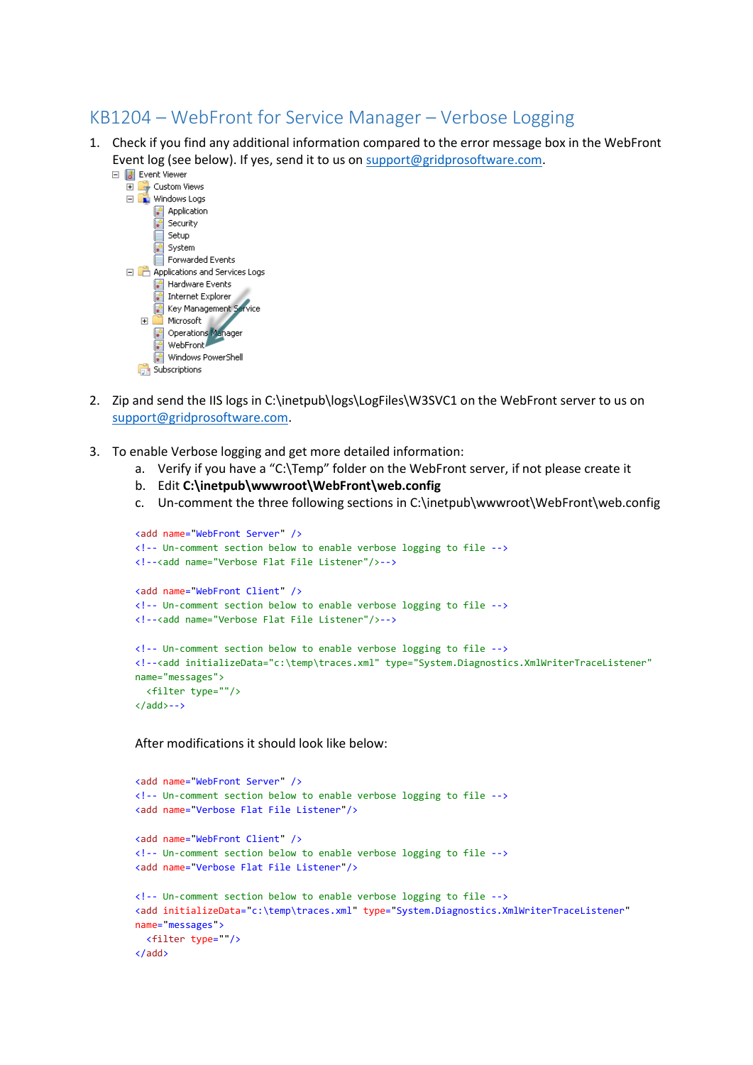## KB1204 – WebFront for Service Manager – Verbose Logging

1. Check if you find any additional information compared to the error message box in the WebFront Event log (see below). If yes, send it to us on  $\frac{\text{support@gridproof}}{\text{gradient}$  Event Viewer



- 2. Zip and send the IIS logs in C:\inetpub\logs\LogFiles\W3SVC1 on the WebFront server to us on [support@gridprosoftware.com.](mailto:support@gridprosoftware.com)
- 3. To enable Verbose logging and get more detailed information:
	- a. Verify if you have a "C:\Temp" folder on the WebFront server, if not please create it
	- b. Edit **C:\inetpub\wwwroot\WebFront\web.config**
	- c. Un-comment the three following sections in C:\inetpub\wwwroot\WebFront\web.config

```
<add name="WebFront Server" />
<!-- Un-comment section below to enable verbose logging to file -->
<!--<add name="Verbose Flat File Listener"/>-->
<add name="WebFront Client" />
<!-- Un-comment section below to enable verbose logging to file -->
<!--<add name="Verbose Flat File Listener"/>-->
<!-- Un-comment section below to enable verbose logging to file -->
<!--<add initializeData="c:\temp\traces.xml" type="System.Diagnostics.XmlWriterTraceListener" 
name="messages">
 <filter type=""/>
\langle add \rangle - - \rangle
```
After modifications it should look like below:

```
<add name="WebFront Server" />
<!-- Un-comment section below to enable verbose logging to file -->
<add name="Verbose Flat File Listener"/>
<add name="WebFront Client" />
<!-- Un-comment section below to enable verbose logging to file -->
<add name="Verbose Flat File Listener"/>
<!-- Un-comment section below to enable verbose logging to file -->
<add initializeData="c:\temp\traces.xml" type="System.Diagnostics.XmlWriterTraceListener"
name="messages">
 <filter type=""/>
</add>
```